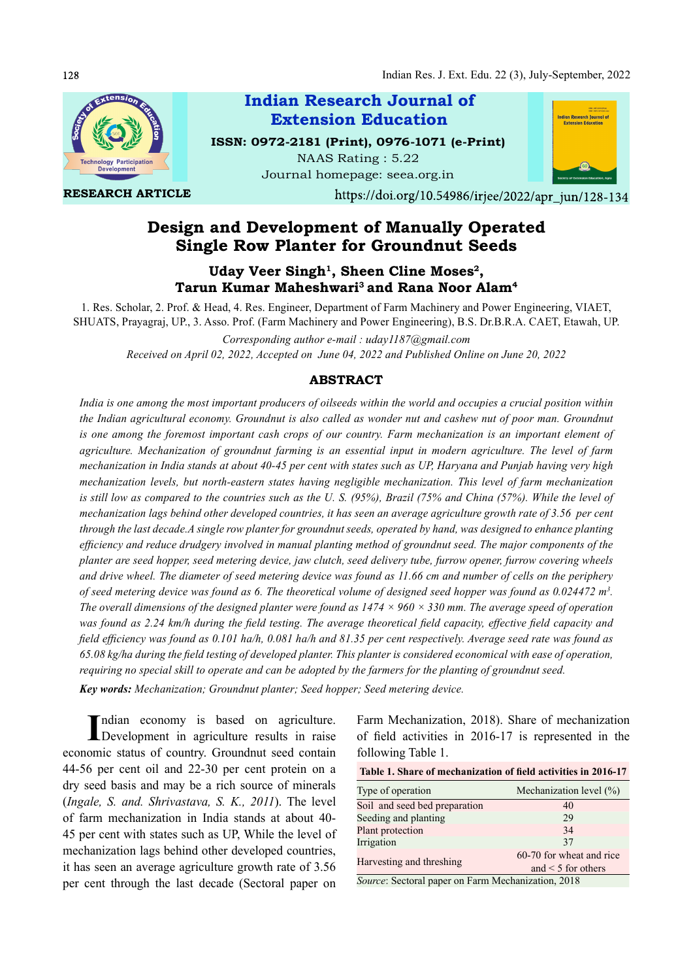

RESEARCH ARTICLE



https://doi.org/10.54986/irjee/2022/apr jun/128-134

# Design and Development of Manually Operated Single Row Planter for Groundnut Seeds

NAAS Rating : 5.22

Extension Education

Uday Veer Singh<sup>1</sup>, Sheen Cline Moses<sup>2</sup>, Tarun Kumar Maheshwari<sup>3</sup> and Rana Noor Alam<sup>4</sup>

1. Res. Scholar, 2. Prof. & Head, 4. Res. Engineer, Department of Farm Machinery and Power Engineering, VIAET, SHUATS, Prayagraj, UP., 3. Asso. Prof. (Farm Machinery and Power Engineering), B.S. Dr.B.R.A. CAET, Etawah, UP.

Corresponding author e-mail : uday1187@gmail.com Received on April 02, 2022, Accepted on June 04, 2022 and Published Online on June 20, 2022

#### ABSTRACT

India is one among the most important producers of oilseeds within the world and occupies a crucial position within the Indian agricultural economy. Groundnut is also called as wonder nut and cashew nut of poor man. Groundnut is one among the foremost important cash crops of our country. Farm mechanization is an important element of agriculture. Mechanization of groundnut farming is an essential input in modern agriculture. The level of farm mechanization in India stands at about 40-45 per cent with states such as UP, Haryana and Punjab having very high mechanization levels, but north-eastern states having negligible mechanization. This level of farm mechanization is still low as compared to the countries such as the U. S. (95%), Brazil (75% and China (57%). While the level of mechanization lags behind other developed countries, it has seen an average agriculture growth rate of 3.56 per cent through the last decade.A single row planter for groundnut seeds, operated by hand, was designed to enhance planting efficiency and reduce drudgery involved in manual planting method of groundnut seed. The major components of the planter are seed hopper, seed metering device, jaw clutch, seed delivery tube, furrow opener, furrow covering wheels and drive wheel. The diameter of seed metering device was found as 11.66 cm and number of cells on the periphery of seed metering device was found as 6. The theoretical volume of designed seed hopper was found as 0.024472 m<sup>3</sup>.<br>The overall dimensions of the designed planter were found as 1474 × 960 × 330 mm. The average speed of ope was found as 2.24 km/h during the field testing. The average theoretical field capacity, effective field capacity and field efficiency was found as  $0.101$  ha/h,  $0.081$  ha/h and  $81.35$  per cent respectively. Average seed rate was found as  $65.08$  kg/ha during the field testing of developed planter. This planter is considered economical with ease of operation, requiring no special skill to operate and can be adopted by the farmers for the planting of groundnut seed.

Key words: Mechanization; Groundnut planter; Seed hopper; Seed metering device.

Indian economy is based on agriculture. Farm Mechani Development in agriculture results in raise of field activi economic status of country. Groundnut seed contain 44-56 per cent oil and 22-30 per cent protein on a dry seed basis and may be a rich source of minerals (Ingale, S. and. Shrivastava, S. K., 2011). The level of farm mechanization in India stands at about 40- 45 per cent with states such as UP, While the level of mechanization lags behind other developed countries, it has seen an average agriculture growth rate of 3.56 per cent through the last decade (Sectoral paper on

Farm Mechanization, 2018). Share of mechanization of field activities in 2016-17 is represented in the following Table 1.

| Table 1. Share of mechanization of field activities in 2016-17 |                          |  |  |  |
|----------------------------------------------------------------|--------------------------|--|--|--|
| Type of operation                                              | Mechanization level (%)  |  |  |  |
| Soil and seed bed preparation                                  | 40                       |  |  |  |
| Seeding and planting                                           | 29                       |  |  |  |
| Plant protection                                               | 34                       |  |  |  |
| Irrigation                                                     | 37                       |  |  |  |
| Harvesting and threshing                                       | 60-70 for wheat and rice |  |  |  |
|                                                                | and $\leq$ 5 for others  |  |  |  |
| Course Costard nanos on Form Machanization 2019                |                          |  |  |  |

Source: Sectoral paper on Farm Mechanization, 2018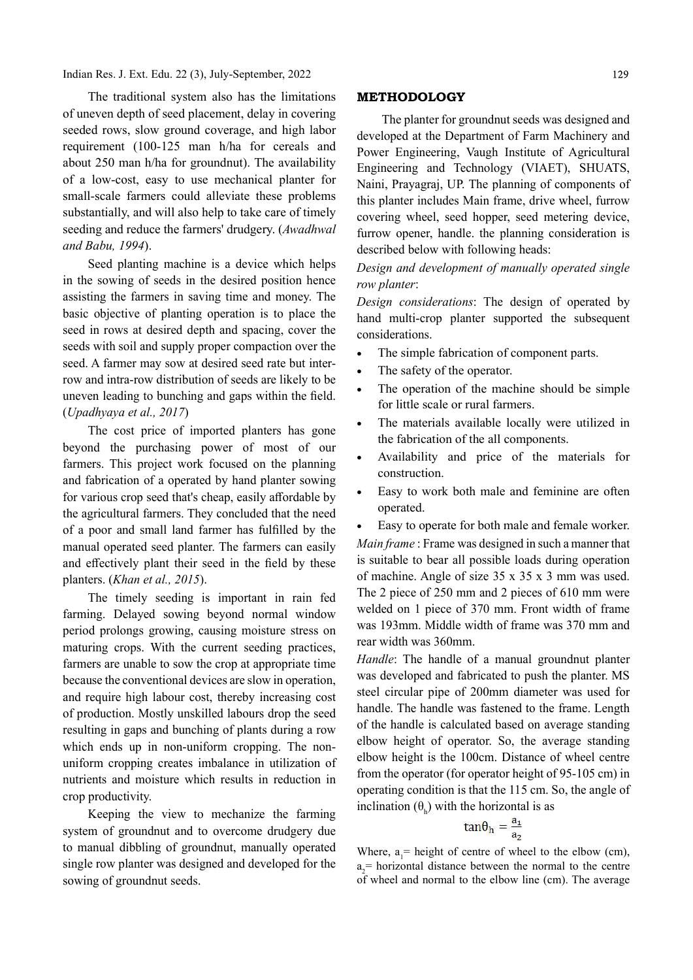Indian Res. J. Ext. Edu. 22 (3), July-September, 2022

The traditional system also has the limitations of uneven depth of seed placement, delay in covering seeded rows, slow ground coverage, and high labor requirement (100-125 man h/ha for cereals and about 250 man h/ha for groundnut). The availability of a low-cost, easy to use mechanical planter for small-scale farmers could alleviate these problems substantially, and will also help to take care of timely seeding and reduce the farmers' drudgery. (Awadhwal and Babu, 1994).

Seed planting machine is a device which helps in the sowing of seeds in the desired position hence assisting the farmers in saving time and money. The basic objective of planting operation is to place the seed in rows at desired depth and spacing, cover the seeds with soil and supply proper compaction over the seed. A farmer may sow at desired seed rate but interrow and intra-row distribution of seeds are likely to be uneven leading to bunching and gaps within the field. (Upadhyaya et al., 2017)

The cost price of imported planters has gone beyond the purchasing power of most of our farmers. This project work focused on the planning and fabrication of a operated by hand planter sowing for various crop seed that's cheap, easily affordable by the agricultural farmers. They concluded that the need of a poor and small land farmer has fulfilled by the manual operated seed planter. The farmers can easily and effectively plant their seed in the field by these planters. (Khan et al., 2015).

The timely seeding is important in rain fed farming. Delayed sowing beyond normal window period prolongs growing, causing moisture stress on maturing crops. With the current seeding practices, farmers are unable to sow the crop at appropriate time because the conventional devices are slow in operation, and require high labour cost, thereby increasing cost of production. Mostly unskilled labours drop the seed resulting in gaps and bunching of plants during a row which ends up in non-uniform cropping. The nonuniform cropping creates imbalance in utilization of nutrients and moisture which results in reduction in crop productivity.

Keeping the view to mechanize the farming system of groundnut and to overcome drudgery due to manual dibbling of groundnut, manually operated single row planter was designed and developed for the sowing of groundnut seeds.

#### METHODOLOGY

The planter for groundnut seeds was designed and developed at the Department of Farm Machinery and Power Engineering, Vaugh Institute of Agricultural Engineering and Technology (VIAET), SHUATS, Naini, Prayagraj, UP. The planning of components of this planter includes Main frame, drive wheel, furrow covering wheel, seed hopper, seed metering device, furrow opener, handle. the planning consideration is described below with following heads:

## Design and development of manually operated single row planter:

Design considerations: The design of operated by hand multi-crop planter supported the subsequent considerations.

- The simple fabrication of component parts.
- The safety of the operator.
- The operation of the machine should be simple for little scale or rural farmers.
- The materials available locally were utilized in the fabrication of the all components.
- Availability and price of the materials for construction.
- Easy to work both male and feminine are often operated.

 Easy to operate for both male and female worker. Main frame : Frame was designed in such a manner that is suitable to bear all possible loads during operation of machine. Angle of size 35 x 35 x 3 mm was used. The 2 piece of 250 mm and 2 pieces of 610 mm were welded on 1 piece of 370 mm. Front width of frame was 193mm. Middle width of frame was 370 mm and rear width was 360mm.

Handle: The handle of a manual groundnut planter was developed and fabricated to push the planter. MS steel circular pipe of 200mm diameter was used for handle. The handle was fastened to the frame. Length of the handle is calculated based on average standing elbow height of operator. So, the average standing elbow height is the 100cm. Distance of wheel centre from the operator (for operator height of 95-105 cm) in operating condition is that the 115 cm. So, the angle of inclination  $(\theta_k)$  with the horizontal is as

$$
an\theta_h = \frac{a_1}{a_2}
$$

Where,  $a_i$ = height of centre of wheel to the elbow (cm), a <sup>2</sup>= horizontal distance between the normal to the centre of wheel and normal to the elbow line (cm). The average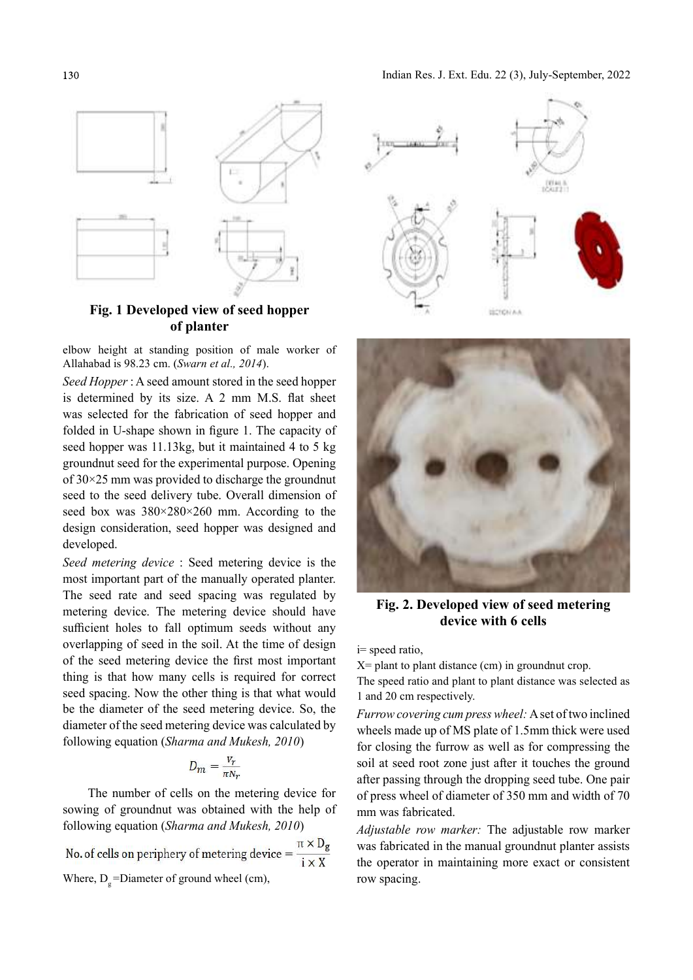

# Fig. 1 Developed view of seed hopper of planter

elbow height at standing position of male worker of Allahabad is 98.23 cm. (Swarn et al., 2014).

Seed Hopper : A seed amount stored in the seed hopper is determined by its size. A 2 mm M.S. flat sheet was selected for the fabrication of seed hopper and folded in U-shape shown in figure 1. The capacity of seed hopper was 11.13kg, but it maintained 4 to 5 kg groundnut seed for the experimental purpose. Opening of 30×25 mm was provided to discharge the groundnut seed to the seed delivery tube. Overall dimension of seed box was 380×280×260 mm. According to the design consideration, seed hopper was designed and developed.

Seed metering device : Seed metering device is the most important part of the manually operated planter. The seed rate and seed spacing was regulated by metering device. The metering device should have sufficient holes to fall optimum seeds without any overlapping of seed in the soil. At the time of design of the seed metering device the first most important thing is that how many cells is required for correct seed spacing. Now the other thing is that what would be the diameter of the seed metering device. So, the diameter of the seed metering device was calculated by following equation (Sharma and Mukesh, 2010)

$$
D_m = \frac{V_r}{\pi N_r}
$$

The number of cells on the metering device for sowing of groundnut was obtained with the help of following equation (Sharma and Mukesh, 2010)

No. of cells on periphery of metering device  $=$   $\frac{\pi \times D_g}{i \times X}$ Where,  $D<sub>g</sub>$ =Diameter of ground wheel (cm),





Fig. 2. Developed view of seed metering device with 6 cells

i= speed ratio,

 $X =$  plant to plant distance (cm) in groundnut crop.

The speed ratio and plant to plant distance was selected as 1 and 20 cm respectively.

Furrow covering cum press wheel: A set of two inclined wheels made up of MS plate of 1.5mm thick were used for closing the furrow as well as for compressing the soil at seed root zone just after it touches the ground after passing through the dropping seed tube. One pair of press wheel of diameter of 350 mm and width of 70 mm was fabricated.

Adjustable row marker: The adjustable row marker was fabricated in the manual groundnut planter assists the operator in maintaining more exact or consistent row spacing.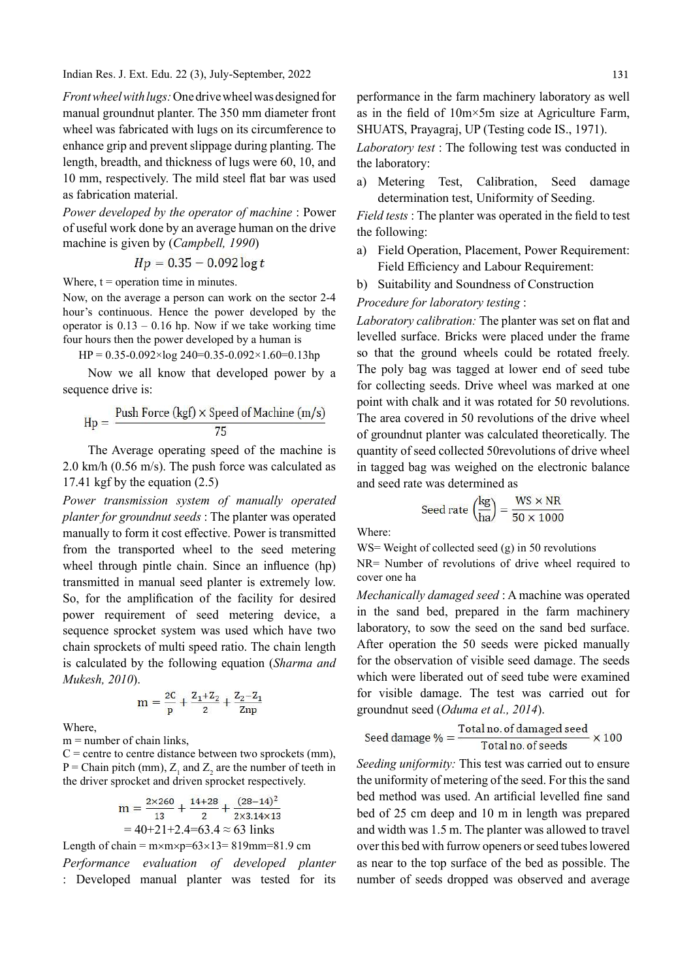Indian Res. J. Ext. Edu. 22 (3), July-September, 2022

Front wheel with lugs: One drive wheel was designed for manual groundnut planter. The 350 mm diameter front wheel was fabricated with lugs on its circumference to enhance grip and prevent slippage during planting. The length, breadth, and thickness of lugs were 60, 10, and 10 mm, respectively. The mild steel flat bar was used as fabrication material.

Power developed by the operator of machine : Power of useful work done by an average human on the drive machine is given by (Campbell, 1990)

$$
Hp = 0.35 - 0.092\log t
$$

Where,  $t =$  operation time in minutes.

Now, on the average a person can work on the sector 2-4 hour's continuous. Hence the power developed by the operator is  $0.13 - 0.16$  hp. Now if we take working time four hours then the power developed by a human is

$$
HP = 0.35 - 0.092 \times \log 240 = 0.35 - 0.092 \times 1.60 = 0.13 \text{hp}
$$

Now we all know that developed power by a sequence drive is:

$$
Hp = \frac{Push Force (kgf) \times Speed of Machine (m/s)}{75}
$$

The Average operating speed of the machine is 2.0 km/h (0.56 m/s). The push force was calculated as 17.41 kgf by the equation (2.5)

Power transmission system of manually operated planter for groundnut seeds : The planter was operated manually to form it cost effective. Power is transmitted from the transported wheel to the seed metering wheel through pintle chain. Since an influence  $(hp)$ transmitted in manual seed planter is extremely low. So, for the amplification of the facility for desired power requirement of seed metering device, a sequence sprocket system was used which have two chain sprockets of multi speed ratio. The chain length is calculated by the following equation (Sharma and Mukesh, 2010).

$$
m = \frac{2C}{p} + \frac{Z_1 + Z_2}{2} + \frac{Z_2 - Z_1}{Znp}
$$

Where,

 $m =$  number of chain links,

 $C$  = centre to centre distance between two sprockets (mm),  $P =$  Chain pitch (mm),  $Z_1$  and  $Z_2$  are the number of teeth in the driver sprocket and driven sprocket respectively.

$$
m = \frac{2 \times 260}{13} + \frac{14 + 28}{2} + \frac{(28 - 14)^2}{2 \times 3.14 \times 13}
$$
  
= 40+21+2.4=63.4 \approx 63 links

Length of chain =  $m \times m \times p = 63 \times 13 = 819$ mm=81.9 cm

Performance evaluation of developed planter : Developed manual planter was tested for its

performance in the farm machinery laboratory as well as in the field of  $10m \times 5m$  size at Agriculture Farm, SHUATS, Prayagraj, UP (Testing code IS., 1971).

Laboratory test : The following test was conducted in the laboratory:

a) Metering Test, Calibration, Seed damage determination test, Uniformity of Seeding.

Field tests : The planter was operated in the field to test the following:

- a) Field Operation, Placement, Power Requirement: Field Efficiency and Labour Requirement:
- b) Suitability and Soundness of Construction

## Procedure for laboratory testing :

Laboratory calibration: The planter was set on flat and levelled surface. Bricks were placed under the frame so that the ground wheels could be rotated freely. The poly bag was tagged at lower end of seed tube for collecting seeds. Drive wheel was marked at one point with chalk and it was rotated for 50 revolutions. The area covered in 50 revolutions of the drive wheel of groundnut planter was calculated theoretically. The quantity of seed collected 50revolutions of drive wheel in tagged bag was weighed on the electronic balance and seed rate was determined as

$$
\text{lead rate } \left(\frac{\text{kg}}{\text{ha}}\right) = \frac{\text{WS} \times \text{NR}}{50 \times 1000}
$$

Where:

WS= Weight of collected seed (g) in 50 revolutions

NR= Number of revolutions of drive wheel required to cover one ha

Mechanically damaged seed : A machine was operated in the sand bed, prepared in the farm machinery laboratory, to sow the seed on the sand bed surface. After operation the 50 seeds were picked manually for the observation of visible seed damage. The seeds which were liberated out of seed tube were examined for visible damage. The test was carried out for groundnut seed (Oduma et al., 2014).

$$
Seed damage \,\% = \frac{Total\, no.\, of \, damaged\, seed}{Total\, no.\, of\, seeds} \times 100
$$

Seeding uniformity: This test was carried out to ensure the uniformity of metering of the seed. For this the sand bed method was used. An artificial levelled fine sand bed of 25 cm deep and 10 m in length was prepared and width was 1.5 m. The planter was allowed to travel over this bed with furrow openers or seed tubes lowered as near to the top surface of the bed as possible. The number of seeds dropped was observed and average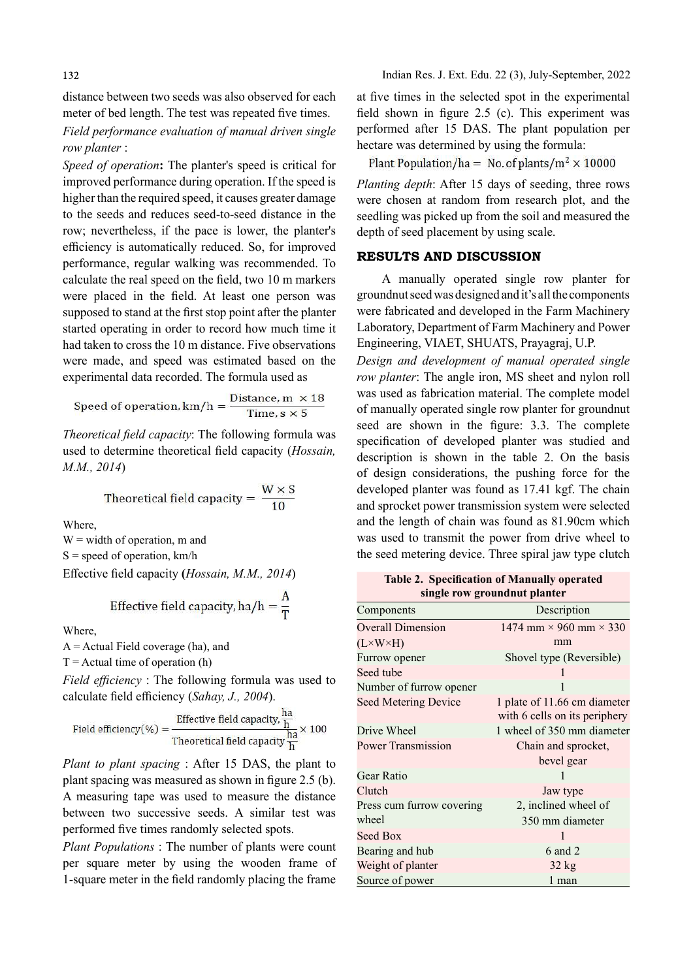distance between two seeds was also observed for each meter of bed length. The test was repeated five times.

Field performance evaluation of manual driven single row planter :

improved performance during operation. If the speed is higher than the required speed, it causes greater damage to the seeds and reduces seed-to-seed distance in the row; nevertheless, if the pace is lower, the planter's efficiency is automatically reduced. So, for improved performance, regular walking was recommended. To calculate the real speed on the field, two 10 m markers were placed in the field. At least one person was supposed to stand at the first stop point after the planter started operating in order to record how much time it had taken to cross the 10 m distance. Five observations were made, and speed was estimated based on the experimental data recorded. The formula used as

Speed of operation, 
$$
km/h = \frac{Distance, m \times 18}{Time, s \times 5}
$$

Theoretical field capacity: The following formula was used to determine theoretical field capacity (Hossain, M.M., 2014)

Theoretical field capacity =  $\frac{W \times S}{10}$ 

Where,

 $W =$  width of operation,  $m$  and  $S = speed of operation, km/h$ Effective field capacity (Hossain, M.M., 2014)

Effective field capacity, ha/h =  $\frac{A}{T}$ 

Where.

 $A =$  Actual Field coverage (ha), and

 $T =$ Actual time of operation (h)

Field efficiency : The following formula was used to calculate field efficiency (Sahay, J., 2004).<br>Seed Metering Device

Field efficiency(%) = 
$$
\frac{\text{Effective field capacity, } \frac{\text{ha}}{\text{h}}}{\text{Theoretical field capacity} \frac{\text{ha}}{\text{h}}} \times 100
$$

Plant to plant spacing  $:$  After 15 DAS, the plant to plant spacing was measured as shown in figure 2.5 (b). Gear  $R$ A measuring tape was used to measure the distance between two successive seeds. A similar test was performed five times randomly selected spots.

Plant Populations : The number of plants were count per square meter by using the wooden frame of 1-square meter in the field randomly placing the frame

at five times in the selected spot in the experimental field shown in figure  $2.5$  (c). This experiment was performed after 15 DAS. The plant population per hectare was determined by using the formula:

Speed of operation: The planter's speed is critical for Plant Population/ha = No. of plants/m<sup>2</sup>  $\times$  10000

Planting depth: After 15 days of seeding, three rows were chosen at random from research plot, and the seedling was picked up from the soil and measured the depth of seed placement by using scale.

## RESULTS AND DISCUSSION

A manually operated single row planter for groundnut seed was designed and it's all the components were fabricated and developed in the Farm Machinery Laboratory, Department of Farm Machinery and Power Engineering, VIAET, SHUATS, Prayagraj, U.P.

Design and development of manual operated single row planter: The angle iron, MS sheet and nylon roll was used as fabrication material. The complete model of manually operated single row planter for groundnut seed are shown in the figure: 3.3. The complete specification of developed planter was studied and description is shown in the table 2. On the basis of design considerations, the pushing force for the developed planter was found as 17.41 kgf. The chain and sprocket power transmission system were selected and the length of chain was found as 81.90cm which was used to transmit the power from drive wheel to the seed metering device. Three spiral jaw type clutch

single row groundnut planter Components Description Overall Dimension (L×W×H)  $1474 \text{ mm} \times 960 \text{ mm} \times 330$ mm Furrow opener Shovel type (Reversible) Seed tube 1 and 1 and 1 and 1 and 1 and 1 and 1 and 1 and 1 and 1 and 1 and 1 and 1 and 1 and 1 and 1 and 1 and 1 and 1 and 1 and 1 and 1 and 1 and 1 and 1 and 1 and 1 and 1 and 1 and 1 and 1 and 1 and 1 and 1 and 1 and 1 Number of furrow opener 1 1 plate of 11.66 cm diameter with 6 cells on its periphery Drive Wheel 1 wheel of 350 mm diameter Power Transmission Chain and sprocket, bevel gear Gear Ratio 1 Jaw type Press cum furrow covering wheel 2, inclined wheel of 350 mm diameter Seed Box 1 and 1 and 1 and 1 and 1 and 1 and 1 and 1 and 1 and 1 and 1 and 1 and 1 and 1 and 1 and 1 and 1 and 1 and 1 and 1 and 1 and 1 and 1 and 1 and 1 and 1 and 1 and 1 and 1 and 1 and 1 and 1 and 1 and 1 and 1 and 1 a Bearing and hub 6 and 2 Weight of planter 32 kg Source of power 1 man

Table 2. Specification of Manually operated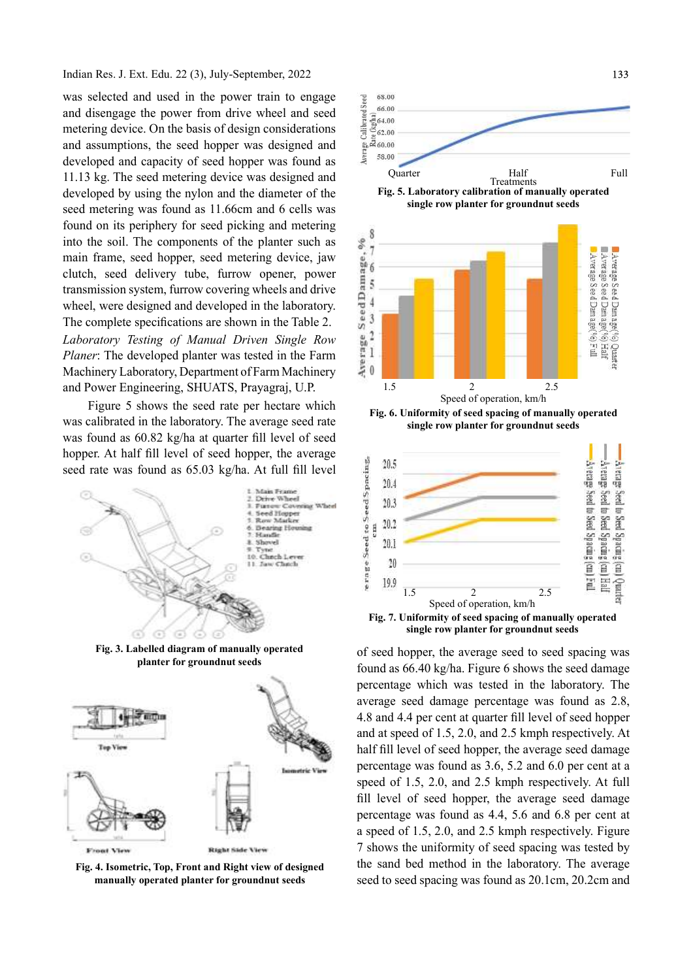Indian Res. J. Ext. Edu. 22 (3), July-September, 2022

was selected and used in the power train to engage and disengage the power from drive wheel and seed<br>metering device. On the basis of design considerations and disengage the power from drive wheel and seed<br>metering device. On the basis of design considerations<br>and assumptions, the seed hopper was designed and metering device. On the basis of design considerations and assumptions, the seed hopper was designed and<br>developed and capacity of seed hopper was found as developed and capacity of seed hopper was found as 11.13 kg. The seed metering device was designed and developed by using the nylon and the diameter of the seed metering was found as 11.66cm and 6 cells was found on its periphery for seed picking and metering into the soil. The components of the planter such as<br>main frame, seed hopper, seed metering device, jaw<br>clutch, seed delivery tube, furrow opener, power<br>transmission system, furrow covering wheels and drive<br>wheel, were de main frame, seed hopper, seed metering device, jaw clutch, seed delivery tube, furrow opener, power transmission system, furrow covering wheels and drive  $\frac{3}{4}$ <br>wheel were designed and developed in the laboratory wheel, were designed and developed in the laboratory.  $\frac{10}{9}$   $\frac{4}{3}$ <br>The complete specifications are shown in the Table 2 The complete specifications are shown in the Table 2.  $\frac{3}{4}$ <br>Laboratory Testing of Manual Driven Single Row Laboratory Testing of Manual Driven Single Row<br>Planer: The developed planter was tested in the Farm<br>Machinery Laboratory, Department of Farm Machinery Planer: The developed planter was tested in the Farm Machinery Laboratory, Department of Farm Machinery  $\frac{1}{2}$  0 and Power Engineering, SHUATS, Prayagraj, U.P.

Figure 5 shows the seed rate per hectare which was calibrated in the laboratory. The average seed rate was found as 60.82 kg/ha at quarter fill level of seed seed rate was found as 65.03 kg/ha. At full fill level



Fig. 4. Isometric, Top, Front and Right view of designed manually operated planter for groundnut seeds



Fig. 7. Uniformity of seed spacing of manually operated single row planter for groundnut seeds

of seed hopper, the average seed to seed spacing was found as 66.40 kg/ha. Figure 6 shows the seed damage percentage which was tested in the laboratory. The average seed damage percentage was found as 2.8, 4.8 and 4.4 per cent at quarter fill level of seed hopper and at speed of 1.5, 2.0, and 2.5 kmph respectively. At half fill level of seed hopper, the average seed damage percentage was found as 3.6, 5.2 and 6.0 per cent at a speed of 1.5, 2.0, and 2.5 kmph respectively. At full fill level of seed hopper, the average seed damage percentage was found as 4.4, 5.6 and 6.8 per cent at a speed of 1.5, 2.0, and 2.5 kmph respectively. Figure 7 shows the uniformity of seed spacing was tested by the sand bed method in the laboratory. The average seed to seed spacing was found as 20.1cm, 20.2cm and